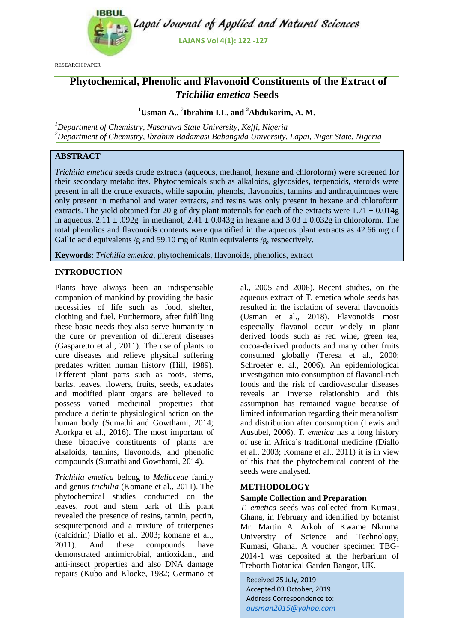

RESEARCH PAPER

# **Phytochemical, Phenolic and Flavonoid Constituents of the Extract of**  *Trichilia emetica* **Seeds**

**<sup>1</sup>Usman A.,** <sup>2</sup> **Ibrahim I.L. and <sup>2</sup>Abdukarim, A. M.**

*<sup>1</sup>Department of Chemistry, Nasarawa State University, Keffi, Nigeria <sup>2</sup>Department of Chemistry, Ibrahim Badamasi Babangida University, Lapai, Niger State, Nigeria*

## **ABSTRACT**

*Trichilia emetica* seeds crude extracts (aqueous, methanol, hexane and chloroform) were screened for their secondary metabolites. Phytochemicals such as alkaloids, glycosides, terpenoids, steroids were present in all the crude extracts, while saponin, phenols, flavonoids, tannins and anthraquinones were only present in methanol and water extracts, and resins was only present in hexane and chloroform extracts. The yield obtained for 20 g of dry plant materials for each of the extracts were  $1.71 \pm 0.014$ g in aqueous,  $2.11 \pm .092$ g in methanol,  $2.41 \pm 0.043$ g in hexane and  $3.03 \pm 0.032$ g in chloroform. The total phenolics and flavonoids contents were quantified in the aqueous plant extracts as 42.66 mg of Gallic acid equivalents /g and 59.10 mg of Rutin equivalents /g, respectively.

**Keywords**: *Trichilia emetica*, phytochemicals, flavonoids, phenolics, extract

## **INTRODUCTION**

Plants have always been an indispensable companion of mankind by providing the basic necessities of life such as food, shelter, clothing and fuel. Furthermore, after fulfilling these basic needs they also serve humanity in the cure or prevention of different diseases (Gasparetto et al., 2011). The use of plants to cure diseases and relieve physical suffering predates written human history (Hill, 1989). Different plant parts such as roots, stems, barks, leaves, flowers, fruits, seeds, exudates and modified plant organs are believed to possess varied medicinal properties that produce a definite physiological action on the human body (Sumathi and Gowthami, 2014; Alorkpa et al., 2016). The most important of these bioactive constituents of plants are alkaloids, tannins, flavonoids, and phenolic compounds (Sumathi and Gowthami, 2014).

*Trichilia emetica* belong to *Meliaceae* family and genus *trichilia* (Komane et al., 2011). The phytochemical studies conducted on the leaves, root and stem bark of this plant revealed the presence of resins, tannin, pectin, sesquiterpenoid and a mixture of triterpenes (calcidrin) Diallo et al., 2003; komane et al., 2011). And these compounds have demonstrated antimicrobial, antioxidant, and anti-insect properties and also DNA damage repairs (Kubo and Klocke, 1982; Germano et al., 2005 and 2006). Recent studies, on the aqueous extract of T. emetica whole seeds has resulted in the isolation of several flavonoids (Usman et al., 2018). Flavonoids most especially flavanol occur widely in plant derived foods such as red wine, green tea, cocoa-derived products and many other fruits consumed globally (Teresa et al., 2000; Schroeter et al., 2006). An epidemiological investigation into consumption of flavanol-rich foods and the risk of cardiovascular diseases reveals an inverse relationship and this assumption has remained vague because of limited information regarding their metabolism and distribution after consumption (Lewis and Ausubel, 2006). *T. emetica* has a long history of use in Africa`s traditional medicine (Diallo et al., 2003; Komane et al., 2011) it is in view of this that the phytochemical content of the seeds were analysed.

#### **METHODOLOGY**

#### **Sample Collection and Preparation**

*T. emetica* seeds was collected from Kumasi, Ghana, in February and identified by botanist Mr. Martin A. Arkoh of Kwame Nkruma University of Science and Technology, Kumasi, Ghana. A voucher specimen TBG-2014-1 was deposited at the herbarium of Treborth Botanical Garden Bangor, UK*.*

Received 25 July, 2019 Accepted 03 October, 2019 Address Correspondence to: *ausman2015@yahoo.com*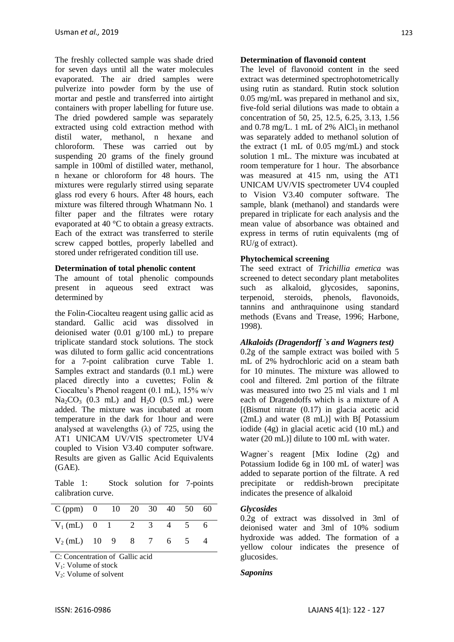The freshly collected sample was shade dried for seven days until all the water molecules evaporated. The air dried samples were pulverize into powder form by the use of mortar and pestle and transferred into airtight containers with proper labelling for future use. The dried powdered sample was separately extracted using cold extraction method with distil water, methanol, n hexane and chloroform. These was carried out by suspending 20 grams of the finely ground sample in 100ml of distilled water, methanol, n hexane or chloroform for 48 hours. The mixtures were regularly stirred using separate glass rod every 6 hours. After 48 hours, each mixture was filtered through Whatmann No. 1 filter paper and the filtrates were rotary evaporated at 40 °C to obtain a greasy extracts. Each of the extract was transferred to sterile screw capped bottles, properly labelled and stored under refrigerated condition till use.

### **Determination of total phenolic content**

The amount of total phenolic compounds present in aqueous seed extract was determined by

the Folin-Ciocalteu reagent using gallic acid as standard. Gallic acid was dissolved in deionised water (0.01 g/100 mL) to prepare triplicate standard stock solutions. The stock was diluted to form gallic acid concentrations for a 7-point calibration curve Table 1. Samples extract and standards (0.1 mL) were placed directly into a cuvettes; Folin & Ciocalteu's Phenol reagent (0.1 mL), 15% w/v  $Na_2CO_3$  (0.3 mL) and  $H_2O$  (0.5 mL) were added. The mixture was incubated at room temperature in the dark for 1hour and were analysed at wavelengths  $(\lambda)$  of 725, using the AT1 UNICAM UV/VIS spectrometer UV4 coupled to Vision V3.40 computer software. Results are given as Gallic Acid Equivalents (GAE).

Table 1: Stock solution for 7-points calibration curve.

| $C (ppm)$ 0 10 20 30 40 50 60 |  |  |  |  |
|-------------------------------|--|--|--|--|
| $V_1$ (mL) 0 1 2 3 4 5        |  |  |  |  |
| $V_2$ (mL) 10 9 8 7 6 5       |  |  |  |  |

C: Concentration of Gallic acid

V<sub>1</sub>: Volume of stock

V<sub>2</sub>: Volume of solvent

#### **Determination of flavonoid content**

The level of flavonoid content in the seed extract was determined spectrophotometrically using rutin as standard. Rutin stock solution 0.05 mg/mL was prepared in methanol and six, five-fold serial dilutions was made to obtain a concentration of 50, 25, 12.5, 6.25, 3.13, 1.56 and 0.78 mg/L. 1 mL of 2% AlCl<sub>3</sub> in methanol was separately added to methanol solution of the extract (1 mL of 0.05 mg/mL) and stock solution 1 mL. The mixture was incubated at room temperature for 1 hour. The absorbance was measured at 415 nm, using the AT1 UNICAM UV/VIS spectrometer UV4 coupled to Vision V3.40 computer software. The sample, blank (methanol) and standards were prepared in triplicate for each analysis and the mean value of absorbance was obtained and express in terms of rutin equivalents (mg of RU/g of extract).

#### **Phytochemical screening**

The seed extract of *Trichillia emetica* was screened to detect secondary plant metabolites such as alkaloid, glycosides, saponins, terpenoid, steroids, phenols, flavonoids, tannins and anthraquinone using standard methods (Evans and Trease, 1996; Harbone, 1998).

#### *Alkaloids (Dragendorff `s and Wagners test)*

0.2g of the sample extract was boiled with 5 mL of 2% hydrochloric acid on a steam bath for 10 minutes. The mixture was allowed to cool and filtered. 2ml portion of the filtrate was measured into two 25 ml vials and 1 ml each of Dragendoffs which is a mixture of A  $[$ (Bismut nitrate  $(0.17)$  in glacia acetic acid  $(2mL)$  and water  $(8mL)$ ] with B[ Potassium iodide (4g) in glacial acetic acid (10 mL) and water (20 mL)] dilute to 100 mL with water.

Wagner`s reagent [Mix Iodine (2g) and Potassium Iodide 6g in 100 mL of water] was added to separate portion of the filtrate. A red precipitate or reddish-brown precipitate indicates the presence of alkaloid

#### *Glycosides*

0.2g of extract was dissolved in 3ml of deionised water and 3ml of 10% sodium hydroxide was added. The formation of a yellow colour indicates the presence of glucosides.

#### *Saponins*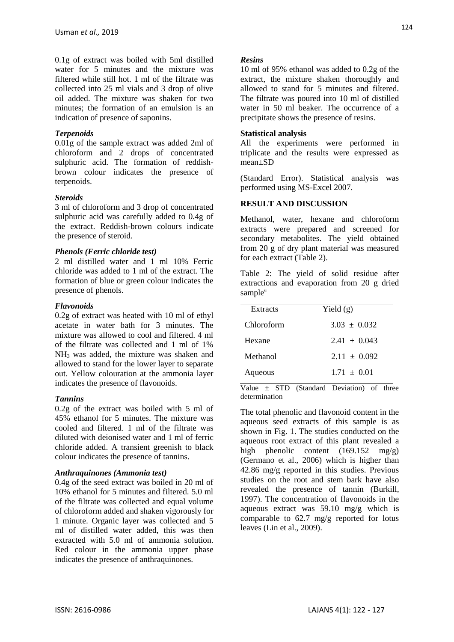0.1g of extract was boiled with 5ml distilled water for 5 minutes and the mixture was filtered while still hot. 1 ml of the filtrate was collected into 25 ml vials and 3 drop of olive oil added. The mixture was shaken for two minutes; the formation of an emulsion is an indication of presence of saponins.

## *Terpenoids*

0.01g of the sample extract was added 2ml of chloroform and 2 drops of concentrated sulphuric acid. The formation of reddishbrown colour indicates the presence of terpenoids.

#### *Steroids*

3 ml of chloroform and 3 drop of concentrated sulphuric acid was carefully added to 0.4g of the extract. Reddish-brown colours indicate the presence of steroid.

#### *Phenols (Ferric chloride test)*

2 ml distilled water and 1 ml 10% Ferric chloride was added to 1 ml of the extract. The formation of blue or green colour indicates the presence of phenols.

#### *Flavonoids*

0.2g of extract was heated with 10 ml of ethyl acetate in water bath for 3 minutes. The mixture was allowed to cool and filtered. 4 ml of the filtrate was collected and 1 ml of 1% NH<sup>3</sup> was added, the mixture was shaken and allowed to stand for the lower layer to separate out. Yellow colouration at the ammonia layer indicates the presence of flavonoids.

#### *Tannins*

0.2g of the extract was boiled with 5 ml of 45% ethanol for 5 minutes. The mixture was cooled and filtered. 1 ml of the filtrate was diluted with deionised water and 1 ml of ferric chloride added. A transient greenish to black colour indicates the presence of tannins.

#### *Anthraquinones (Ammonia test)*

0.4g of the seed extract was boiled in 20 ml of 10% ethanol for 5 minutes and filtered. 5.0 ml of the filtrate was collected and equal volume of chloroform added and shaken vigorously for 1 minute. Organic layer was collected and 5 ml of distilled water added, this was then extracted with 5.0 ml of ammonia solution. Red colour in the ammonia upper phase indicates the presence of anthraquinones.

#### *Resins*

10 ml of 95% ethanol was added to 0.2g of the extract, the mixture shaken thoroughly and allowed to stand for 5 minutes and filtered. The filtrate was poured into 10 ml of distilled water in 50 ml beaker. The occurrence of a precipitate shows the presence of resins.

#### **Statistical analysis**

All the experiments were performed in triplicate and the results were expressed as mean±SD

(Standard Error). Statistical analysis was performed using MS-Excel 2007.

#### **RESULT AND DISCUSSION**

Methanol, water, hexane and chloroform extracts were prepared and screened for secondary metabolites. The yield obtained from 20 g of dry plant material was measured for each extract (Table 2).

Table 2: The yield of solid residue after extractions and evaporation from 20 g dried sample<sup>a</sup>

| Extracts   | Yield $(g)$    |  |  |  |
|------------|----------------|--|--|--|
| Chloroform | $3.03 + 0.032$ |  |  |  |
| Hexane     | $2.41 + 0.043$ |  |  |  |
| Methanol   | $2.11 + 0.092$ |  |  |  |
| Aqueous    | $1.71 + 0.01$  |  |  |  |

Value  $\pm$  STD (Standard Deviation) of three determination

The total phenolic and flavonoid content in the aqueous seed extracts of this sample is as shown in Fig. 1. The studies conducted on the aqueous root extract of this plant revealed a high phenolic content (169.152 mg/g) (Germano et al., 2006) which is higher than 42.86 mg/g reported in this studies. Previous studies on the root and stem bark have also revealed the presence of tannin (Burkill, 1997). The concentration of flavonoids in the aqueous extract was 59.10 mg/g which is comparable to 62.7 mg/g reported for lotus leaves (Lin et al., 2009).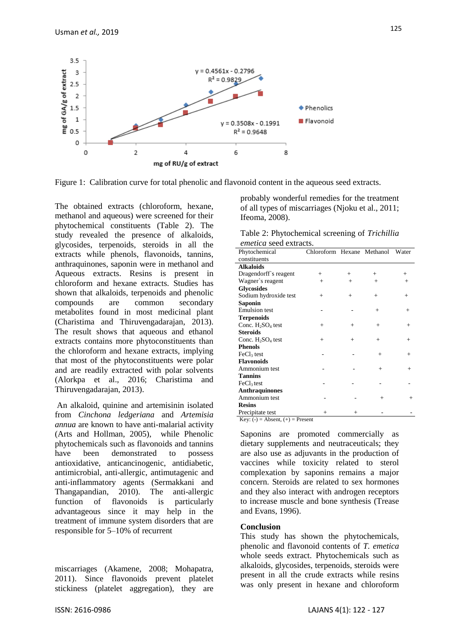



The obtained extracts (chloroform, hexane, methanol and aqueous) were screened for their phytochemical constituents (Table 2). The study revealed the presence of alkaloids, glycosides, terpenoids, steroids in all the extracts while phenols, flavonoids, tannins, anthraquinones, saponin were in methanol and Aqueous extracts. Resins is present in chloroform and hexane extracts. Studies has shown that alkaloids, terpenoids and phenolic compounds are common secondary metabolites found in most medicinal plant (Charistima and Thiruvengadarajan, 2013). The result shows that aqueous and ethanol extracts contains more phytoconstituents than the chloroform and hexane extracts, implying that most of the phytoconstituents were polar and are readily extracted with polar solvents (Alorkpa et al., 2016; Charistima and Thiruvengadarajan, 2013).

An alkaloid, quinine and artemisinin isolated from *Cinchona ledgeriana* and *Artemisia annua* are known to have anti-malarial activity (Arts and Hollman, 2005), while Phenolic phytochemicals such as flavonoids and tannins have been demonstrated to possess antioxidative, anticancinogenic, antidiabetic, antimicrobial, anti-allergic, antimutagenic and anti-inflammatory agents (Sermakkani and Thangapandian, 2010). The anti-allergic function of flavonoids is particularly advantageous since it may help in the treatment of immune system disorders that are responsible for 5–10% of recurrent

miscarriages (Akamene, 2008; Mohapatra, 2011). Since flavonoids prevent platelet stickiness (platelet aggregation), they are

probably wonderful remedies for the treatment of all types of miscarriages (Njoku et al., 2011; Ifeoma, 2008).

Table 2: Phytochemical screening of *Trichillia emetica* seed extracts.

| Phytochemical                                                                                                                                                                                                                                                                                                                                                                                    | Chloroform Hexane Methanol |        |           | Water  |
|--------------------------------------------------------------------------------------------------------------------------------------------------------------------------------------------------------------------------------------------------------------------------------------------------------------------------------------------------------------------------------------------------|----------------------------|--------|-----------|--------|
| constituents                                                                                                                                                                                                                                                                                                                                                                                     |                            |        |           |        |
| <b>Alkaloids</b>                                                                                                                                                                                                                                                                                                                                                                                 |                            |        |           |        |
| Dragendorff's reagent                                                                                                                                                                                                                                                                                                                                                                            | $^{+}$                     | $+$    | $^{+}$    | $^{+}$ |
| Wagner's reagent                                                                                                                                                                                                                                                                                                                                                                                 | $+$                        | $^{+}$ | $+$       | $+$    |
| <b>Glycosides</b>                                                                                                                                                                                                                                                                                                                                                                                |                            |        |           |        |
| Sodium hydroxide test                                                                                                                                                                                                                                                                                                                                                                            | $^{+}$                     | $^{+}$ | $+$       | $^{+}$ |
| Saponin                                                                                                                                                                                                                                                                                                                                                                                          |                            |        |           |        |
| <b>Emulsion</b> test                                                                                                                                                                                                                                                                                                                                                                             |                            | ÷      | $+$       | $+$    |
| <b>Terpenoids</b>                                                                                                                                                                                                                                                                                                                                                                                |                            |        |           |        |
| Conc. $H_2SO_4$ test                                                                                                                                                                                                                                                                                                                                                                             | $+$                        | $^{+}$ | $+$       | $^{+}$ |
| <b>Steroids</b>                                                                                                                                                                                                                                                                                                                                                                                  |                            |        |           |        |
| Conc. $H_2SO_4$ test                                                                                                                                                                                                                                                                                                                                                                             | $^{+}$                     | $+$    | $+$       | $^{+}$ |
| <b>Phenols</b>                                                                                                                                                                                                                                                                                                                                                                                   |                            |        |           |        |
| FeCl <sub>3</sub> test                                                                                                                                                                                                                                                                                                                                                                           |                            |        | $+$       | $^{+}$ |
| <b>Flavonoids</b>                                                                                                                                                                                                                                                                                                                                                                                |                            |        |           |        |
| Ammonium test                                                                                                                                                                                                                                                                                                                                                                                    |                            |        | $\ddot{}$ | $+$    |
| <b>Tannins</b>                                                                                                                                                                                                                                                                                                                                                                                   |                            |        |           |        |
| FeCl <sub>3</sub> test                                                                                                                                                                                                                                                                                                                                                                           |                            |        |           |        |
| <b>Anthraquinones</b>                                                                                                                                                                                                                                                                                                                                                                            |                            |        |           |        |
| Ammonium test                                                                                                                                                                                                                                                                                                                                                                                    |                            |        | $+$       | $+$    |
| <b>Resins</b>                                                                                                                                                                                                                                                                                                                                                                                    |                            |        |           |        |
| Precipitate test                                                                                                                                                                                                                                                                                                                                                                                 | $+$                        | $+$    |           |        |
| Key: $(-)$ = Absent, $(+)$ = Present                                                                                                                                                                                                                                                                                                                                                             |                            |        |           |        |
| Saponins are promoted commercially<br>dietary supplements and neutraceuticals; they<br>are also use as adjuvants in the production of<br>vaccines while toxicity related to<br>complexation by saponins remains a major<br>concern. Steroids are related to sex hormones<br>and they also interact with androgen receptors<br>to increase muscle and bone synthesis (Trease<br>and Evans, 1996). |                            |        | sterol    | as     |
| <b>Conclusion</b><br>This study has shown the phytochemicals,<br>phenolic and flavonoid contents of T. emetica<br>whole seeds extract. Phytochemicals such as<br>alkaloids, glycosides, terpenoids, steroids were<br>present in all the crude extracts while resins<br>was only present in hexane and chloroform                                                                                 |                            |        |           |        |

#### **Conclusion**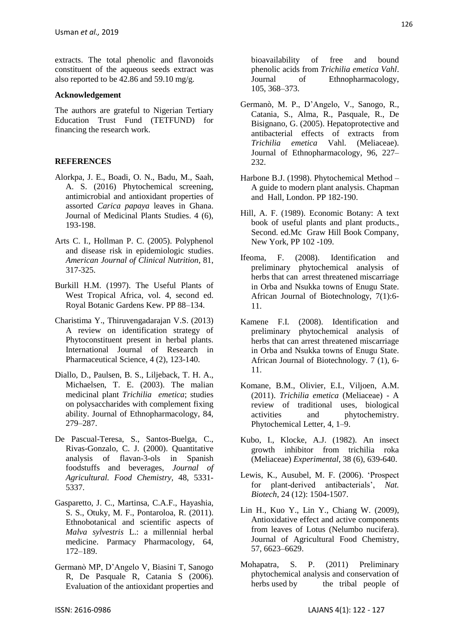extracts. The total phenolic and flavonoids constituent of the aqueous seeds extract was also reported to be 42.86 and 59.10 mg/g.

#### **Acknowledgement**

The authors are grateful to Nigerian Tertiary Education Trust Fund (TETFUND) for financing the research work.

## **REFERENCES**

- Alorkpa, J. E., Boadi, O. N., Badu, M., Saah, A. S. (2016) Phytochemical screening, antimicrobial and antioxidant properties of assorted *Carica papaya* leaves in Ghana. Journal of Medicinal Plants Studies. 4 (6), 193-198.
- Arts C. I., Hollman P. C. (2005). Polyphenol and disease risk in epidemiologic studies. *American Journal of Clinical Nutrition*, 81, 317-325.
- Burkill H.M. (1997). The Useful Plants of West Tropical Africa, vol. 4, second ed. Royal Botanic Gardens Kew. PP 88–134.
- Charistima Y., Thiruvengadarajan V.S. (2013) A review on identification strategy of Phytoconstituent present in herbal plants. International Journal of Research in Pharmaceutical Science, 4 (2), 123-140.
- Diallo, D., Paulsen, B. S., Liljeback, T. H. A., Michaelsen, T. E. (2003). The malian medicinal plant *Trichilia emetica*; studies on polysaccharides with complement fixing ability. Journal of Ethnopharmacology, 84, 279–287.
- De Pascual-Teresa, S., Santos-Buelga, C., Rivas-Gonzalo, C. J. (2000). Quantitative analysis of flavan-3-ols in Spanish foodstuffs and beverages, *Journal of Agricultural. Food Chemistry,* 48, 5331- 5337.
- Gasparetto, J. C., Martinsa, C.A.F., Hayashia, S. S., Otuky, M. F., Pontaroloa, R. (2011). Ethnobotanical and scientific aspects of *Malva sylvestris* L.: a millennial herbal medicine. Parmacy Pharmacology, 64, 172–189.
- Germanò MP, D'Angelo V, Biasini T, Sanogo R, De Pasquale R, Catania S (2006). Evaluation of the antioxidant properties and

bioavailability of free and bound phenolic acids from *Trichilia emetica Vahl*. Journal of Ethnopharmacology, 105, 368–373.

- Germanò, M. P., D'Angelo, V., Sanogo, R., Catania, S., Alma, R., Pasquale, R., De Bisignano, G. (2005). Hepatoprotective and antibacterial effects of extracts from *Trichilia emetica* Vahl. (Meliaceae). Journal of Ethnopharmacology, 96, 227– 232.
- Harbone B.J. (1998). Phytochemical Method A guide to modern plant analysis. Chapman and Hall, London. PP 182-190.
- Hill, A. F. (1989). Economic Botany: A text book of useful plants and plant products., Second. ed.Mc Graw Hill Book Company, New York, PP 102 -109.
- Ifeoma, F. (2008). Identification and preliminary phytochemical analysis of herbs that can arrest threatened miscarriage in Orba and Nsukka towns of Enugu State. African Journal of Biotechnology, 7(1):6- 11.
- Kamene F.I. (2008). Identification and preliminary phytochemical analysis of herbs that can arrest threatened miscarriage in Orba and Nsukka towns of Enugu State. African Journal of Biotechnology. 7 (1), 6- 11.
- Komane, B.M., Olivier, E.I., Viljoen, A.M. (2011). *Trichilia emetica* (Meliaceae) - A review of traditional uses, biological activities and phytochemistry. Phytochemical Letter, 4, 1–9.
- Kubo, I., Klocke, A.J. (1982). An insect growth inhibitor from trichilia roka (Meliaceae) *Experimental*, 38 (6), 639-640.
- Lewis, K., Ausubel, M. F. (2006). 'Prospect for plant-derived antibacterials', *Nat. Biotech*, 24 (12): 1504-1507.
- Lin H., Kuo Y., Lin Y., Chiang W. (2009), Antioxidative effect and active components from leaves of Lotus (Nelumbo nucifera). Journal of Agricultural Food Chemistry, 57, 6623–6629.
- Mohapatra, S. P. (2011) Preliminary phytochemical analysis and conservation of herbs used by the tribal people of